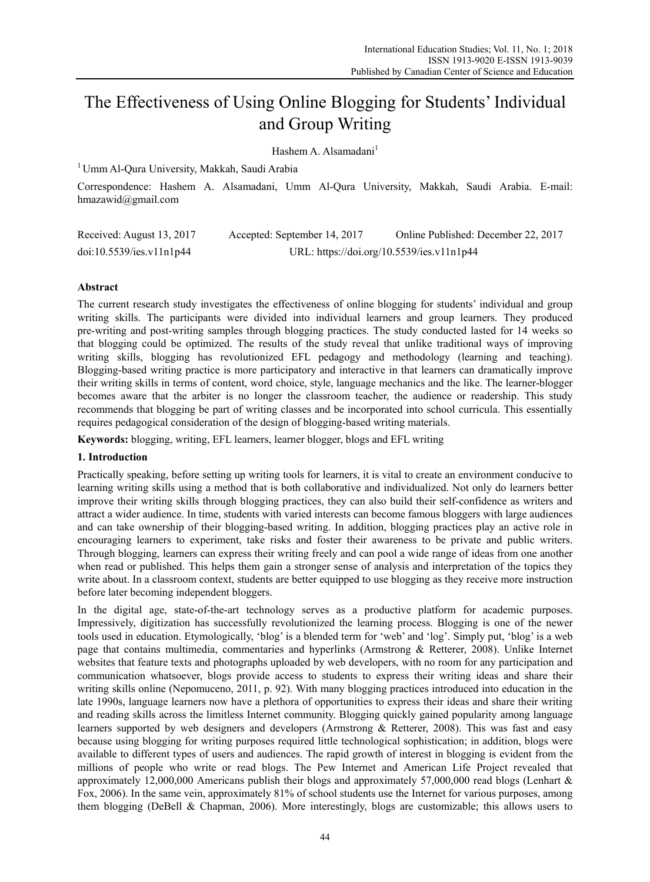# The Effectiveness of Using Online Blogging for Students' Individual and Group Writing

Hashem A. Alsamadani<sup>1</sup>

1 Umm Al-Qura University, Makkah, Saudi Arabia

Correspondence: Hashem A. Alsamadani, Umm Al-Qura University, Makkah, Saudi Arabia. E-mail: hmazawid@gmail.com

| Received: August 13, 2017 | Accepted: September 14, 2017              | Online Published: December 22, 2017 |
|---------------------------|-------------------------------------------|-------------------------------------|
| doi:10.5539/ies.v11n1p44  | URL: https://doi.org/10.5539/ies.v11n1p44 |                                     |

# **Abstract**

The current research study investigates the effectiveness of online blogging for students' individual and group writing skills. The participants were divided into individual learners and group learners. They produced pre-writing and post-writing samples through blogging practices. The study conducted lasted for 14 weeks so that blogging could be optimized. The results of the study reveal that unlike traditional ways of improving writing skills, blogging has revolutionized EFL pedagogy and methodology (learning and teaching). Blogging-based writing practice is more participatory and interactive in that learners can dramatically improve their writing skills in terms of content, word choice, style, language mechanics and the like. The learner-blogger becomes aware that the arbiter is no longer the classroom teacher, the audience or readership. This study recommends that blogging be part of writing classes and be incorporated into school curricula. This essentially requires pedagogical consideration of the design of blogging-based writing materials.

**Keywords:** blogging, writing, EFL learners, learner blogger, blogs and EFL writing

# **1. Introduction**

Practically speaking, before setting up writing tools for learners, it is vital to create an environment conducive to learning writing skills using a method that is both collaborative and individualized. Not only do learners better improve their writing skills through blogging practices, they can also build their self-confidence as writers and attract a wider audience. In time, students with varied interests can become famous bloggers with large audiences and can take ownership of their blogging-based writing. In addition, blogging practices play an active role in encouraging learners to experiment, take risks and foster their awareness to be private and public writers. Through blogging, learners can express their writing freely and can pool a wide range of ideas from one another when read or published. This helps them gain a stronger sense of analysis and interpretation of the topics they write about. In a classroom context, students are better equipped to use blogging as they receive more instruction before later becoming independent bloggers.

In the digital age, state-of-the-art technology serves as a productive platform for academic purposes. Impressively, digitization has successfully revolutionized the learning process. Blogging is one of the newer tools used in education. Etymologically, 'blog' is a blended term for 'web' and 'log'. Simply put, 'blog' is a web page that contains multimedia, commentaries and hyperlinks (Armstrong & Retterer, 2008). Unlike Internet websites that feature texts and photographs uploaded by web developers, with no room for any participation and communication whatsoever, blogs provide access to students to express their writing ideas and share their writing skills online (Nepomuceno, 2011, p. 92). With many blogging practices introduced into education in the late 1990s, language learners now have a plethora of opportunities to express their ideas and share their writing and reading skills across the limitless Internet community. Blogging quickly gained popularity among language learners supported by web designers and developers (Armstrong & Retterer, 2008). This was fast and easy because using blogging for writing purposes required little technological sophistication; in addition, blogs were available to different types of users and audiences. The rapid growth of interest in blogging is evident from the millions of people who write or read blogs. The Pew Internet and American Life Project revealed that approximately 12,000,000 Americans publish their blogs and approximately 57,000,000 read blogs (Lenhart & Fox, 2006). In the same vein, approximately 81% of school students use the Internet for various purposes, among them blogging (DeBell & Chapman, 2006). More interestingly, blogs are customizable; this allows users to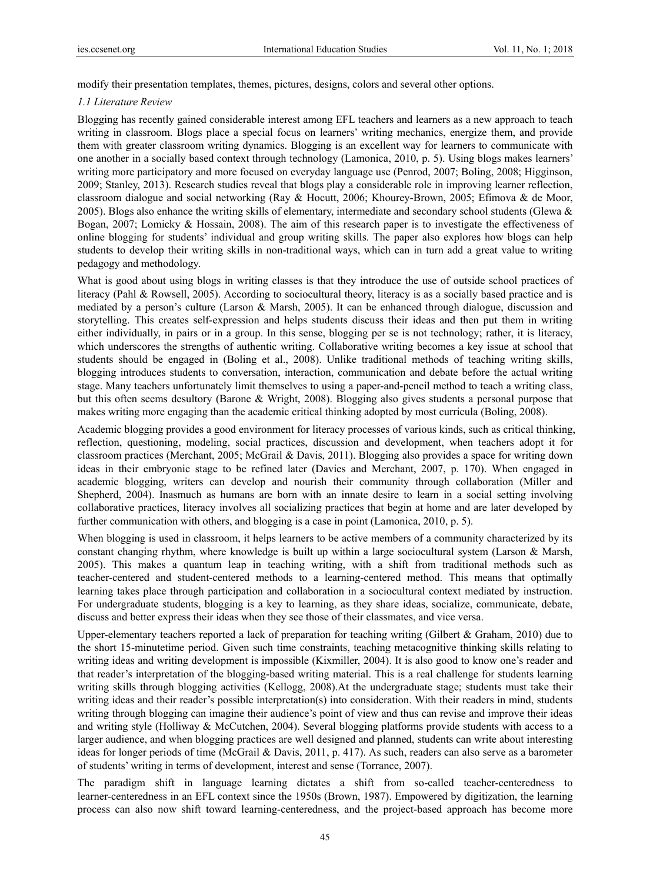modify their presentation templates, themes, pictures, designs, colors and several other options.

# *1.1 Literature Review*

Blogging has recently gained considerable interest among EFL teachers and learners as a new approach to teach writing in classroom. Blogs place a special focus on learners' writing mechanics, energize them, and provide them with greater classroom writing dynamics. Blogging is an excellent way for learners to communicate with one another in a socially based context through technology (Lamonica, 2010, p. 5). Using blogs makes learners' writing more participatory and more focused on everyday language use (Penrod, 2007; Boling, 2008; Higginson, 2009; Stanley, 2013). Research studies reveal that blogs play a considerable role in improving learner reflection, classroom dialogue and social networking (Ray & Hocutt, 2006; Khourey-Brown, 2005; Efimova & de Moor, 2005). Blogs also enhance the writing skills of elementary, intermediate and secondary school students (Glewa  $\&$ Bogan, 2007; Lomicky & Hossain, 2008). The aim of this research paper is to investigate the effectiveness of online blogging for students' individual and group writing skills. The paper also explores how blogs can help students to develop their writing skills in non-traditional ways, which can in turn add a great value to writing pedagogy and methodology.

What is good about using blogs in writing classes is that they introduce the use of outside school practices of literacy (Pahl & Rowsell, 2005). According to sociocultural theory, literacy is as a socially based practice and is mediated by a person's culture (Larson & Marsh, 2005). It can be enhanced through dialogue, discussion and storytelling. This creates self-expression and helps students discuss their ideas and then put them in writing either individually, in pairs or in a group. In this sense, blogging per se is not technology; rather, it is literacy, which underscores the strengths of authentic writing. Collaborative writing becomes a key issue at school that students should be engaged in (Boling et al., 2008). Unlike traditional methods of teaching writing skills, blogging introduces students to conversation, interaction, communication and debate before the actual writing stage. Many teachers unfortunately limit themselves to using a paper-and-pencil method to teach a writing class, but this often seems desultory (Barone & Wright, 2008). Blogging also gives students a personal purpose that makes writing more engaging than the academic critical thinking adopted by most curricula (Boling, 2008).

Academic blogging provides a good environment for literacy processes of various kinds, such as critical thinking, reflection, questioning, modeling, social practices, discussion and development, when teachers adopt it for classroom practices (Merchant, 2005; McGrail & Davis, 2011). Blogging also provides a space for writing down ideas in their embryonic stage to be refined later (Davies and Merchant, 2007, p. 170). When engaged in academic blogging, writers can develop and nourish their community through collaboration (Miller and Shepherd, 2004). Inasmuch as humans are born with an innate desire to learn in a social setting involving collaborative practices, literacy involves all socializing practices that begin at home and are later developed by further communication with others, and blogging is a case in point (Lamonica, 2010, p. 5).

When blogging is used in classroom, it helps learners to be active members of a community characterized by its constant changing rhythm, where knowledge is built up within a large sociocultural system (Larson & Marsh, 2005). This makes a quantum leap in teaching writing, with a shift from traditional methods such as teacher-centered and student-centered methods to a learning-centered method. This means that optimally learning takes place through participation and collaboration in a sociocultural context mediated by instruction. For undergraduate students, blogging is a key to learning, as they share ideas, socialize, communicate, debate, discuss and better express their ideas when they see those of their classmates, and vice versa.

Upper-elementary teachers reported a lack of preparation for teaching writing (Gilbert & Graham, 2010) due to the short 15-minutetime period. Given such time constraints, teaching metacognitive thinking skills relating to writing ideas and writing development is impossible (Kixmiller, 2004). It is also good to know one's reader and that reader's interpretation of the blogging-based writing material. This is a real challenge for students learning writing skills through blogging activities (Kellogg, 2008).At the undergraduate stage; students must take their writing ideas and their reader's possible interpretation(s) into consideration. With their readers in mind, students writing through blogging can imagine their audience's point of view and thus can revise and improve their ideas and writing style (Holliway & McCutchen, 2004). Several blogging platforms provide students with access to a larger audience, and when blogging practices are well designed and planned, students can write about interesting ideas for longer periods of time (McGrail & Davis, 2011, p. 417). As such, readers can also serve as a barometer of students' writing in terms of development, interest and sense (Torrance, 2007).

The paradigm shift in language learning dictates a shift from so-called teacher-centeredness to learner-centeredness in an EFL context since the 1950s (Brown, 1987). Empowered by digitization, the learning process can also now shift toward learning-centeredness, and the project-based approach has become more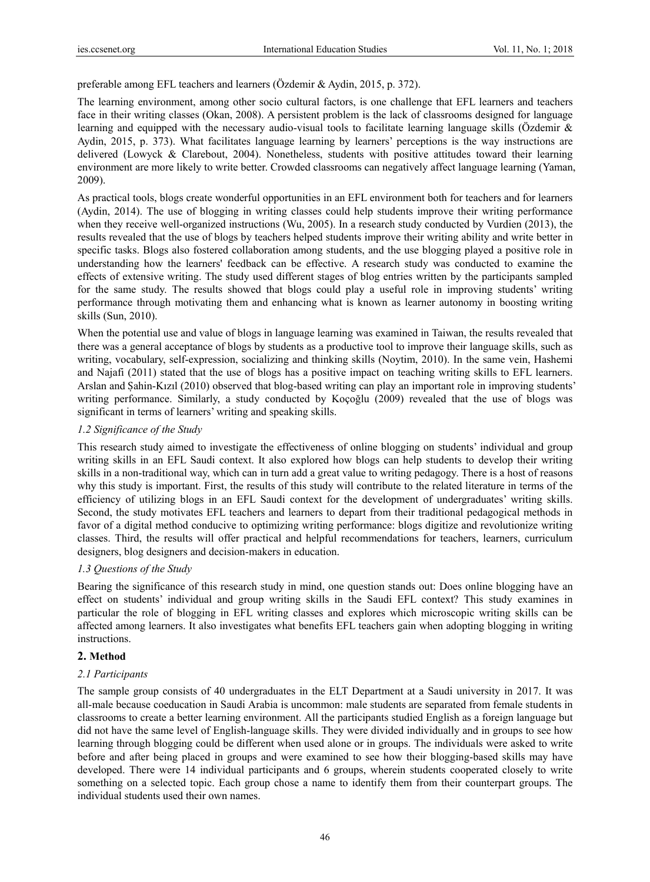preferable among EFL teachers and learners (Özdemir & Aydin, 2015, p. 372).

The learning environment, among other socio cultural factors, is one challenge that EFL learners and teachers face in their writing classes (Okan, 2008). A persistent problem is the lack of classrooms designed for language learning and equipped with the necessary audio-visual tools to facilitate learning language skills (Özdemir & Aydin, 2015, p. 373). What facilitates language learning by learners' perceptions is the way instructions are delivered (Lowyck & Clarebout, 2004). Nonetheless, students with positive attitudes toward their learning environment are more likely to write better. Crowded classrooms can negatively affect language learning (Yaman, 2009).

As practical tools, blogs create wonderful opportunities in an EFL environment both for teachers and for learners (Aydin, 2014). The use of blogging in writing classes could help students improve their writing performance when they receive well-organized instructions (Wu, 2005). In a research study conducted by Vurdien (2013), the results revealed that the use of blogs by teachers helped students improve their writing ability and write better in specific tasks. Blogs also fostered collaboration among students, and the use blogging played a positive role in understanding how the learners' feedback can be effective. A research study was conducted to examine the effects of extensive writing. The study used different stages of blog entries written by the participants sampled for the same study. The results showed that blogs could play a useful role in improving students' writing performance through motivating them and enhancing what is known as learner autonomy in boosting writing skills (Sun, 2010).

When the potential use and value of blogs in language learning was examined in Taiwan, the results revealed that there was a general acceptance of blogs by students as a productive tool to improve their language skills, such as writing, vocabulary, self-expression, socializing and thinking skills (Noytim, 2010). In the same vein, Hashemi and Najafi (2011) stated that the use of blogs has a positive impact on teaching writing skills to EFL learners. Arslan and Sahin-Kızıl (2010) observed that blog-based writing can play an important role in improving students' writing performance. Similarly, a study conducted by Koçoğlu (2009) revealed that the use of blogs was significant in terms of learners' writing and speaking skills.

# *1.2 Significance of the Study*

This research study aimed to investigate the effectiveness of online blogging on students' individual and group writing skills in an EFL Saudi context. It also explored how blogs can help students to develop their writing skills in a non-traditional way, which can in turn add a great value to writing pedagogy. There is a host of reasons why this study is important. First, the results of this study will contribute to the related literature in terms of the efficiency of utilizing blogs in an EFL Saudi context for the development of undergraduates' writing skills. Second, the study motivates EFL teachers and learners to depart from their traditional pedagogical methods in favor of a digital method conducive to optimizing writing performance: blogs digitize and revolutionize writing classes. Third, the results will offer practical and helpful recommendations for teachers, learners, curriculum designers, blog designers and decision-makers in education.

# *1.3 Questions of the Study*

Bearing the significance of this research study in mind, one question stands out: Does online blogging have an effect on students' individual and group writing skills in the Saudi EFL context? This study examines in particular the role of blogging in EFL writing classes and explores which microscopic writing skills can be affected among learners. It also investigates what benefits EFL teachers gain when adopting blogging in writing instructions.

# **2. Method**

# *2.1 Participants*

The sample group consists of 40 undergraduates in the ELT Department at a Saudi university in 2017. It was all-male because coeducation in Saudi Arabia is uncommon: male students are separated from female students in classrooms to create a better learning environment. All the participants studied English as a foreign language but did not have the same level of English-language skills. They were divided individually and in groups to see how learning through blogging could be different when used alone or in groups. The individuals were asked to write before and after being placed in groups and were examined to see how their blogging-based skills may have developed. There were 14 individual participants and 6 groups, wherein students cooperated closely to write something on a selected topic. Each group chose a name to identify them from their counterpart groups. The individual students used their own names.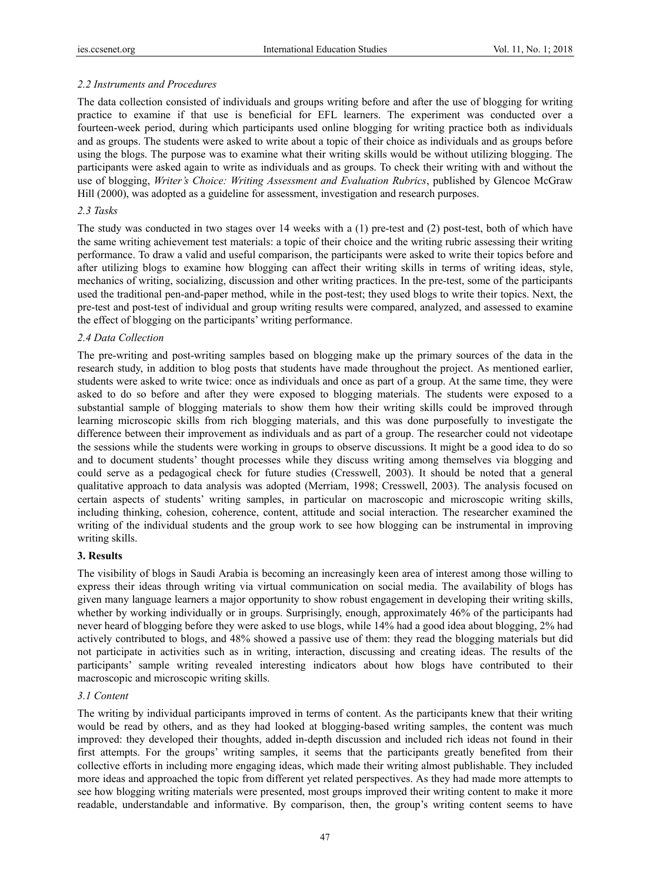# *2.2 Instruments and Procedures*

The data collection consisted of individuals and groups writing before and after the use of blogging for writing practice to examine if that use is beneficial for EFL learners. The experiment was conducted over a fourteen-week period, during which participants used online blogging for writing practice both as individuals and as groups. The students were asked to write about a topic of their choice as individuals and as groups before using the blogs. The purpose was to examine what their writing skills would be without utilizing blogging. The participants were asked again to write as individuals and as groups. To check their writing with and without the use of blogging, *Writer's Choice: Writing Assessment and Evaluation Rubrics*, published by Glencoe McGraw Hill (2000), was adopted as a guideline for assessment, investigation and research purposes.

# *2.3 Tasks*

The study was conducted in two stages over 14 weeks with a (1) pre-test and (2) post-test, both of which have the same writing achievement test materials: a topic of their choice and the writing rubric assessing their writing performance. To draw a valid and useful comparison, the participants were asked to write their topics before and after utilizing blogs to examine how blogging can affect their writing skills in terms of writing ideas, style, mechanics of writing, socializing, discussion and other writing practices. In the pre-test, some of the participants used the traditional pen-and-paper method, while in the post-test; they used blogs to write their topics. Next, the pre-test and post-test of individual and group writing results were compared, analyzed, and assessed to examine the effect of blogging on the participants' writing performance.

#### *2.4 Data Collection*

The pre-writing and post-writing samples based on blogging make up the primary sources of the data in the research study, in addition to blog posts that students have made throughout the project. As mentioned earlier, students were asked to write twice: once as individuals and once as part of a group. At the same time, they were asked to do so before and after they were exposed to blogging materials. The students were exposed to a substantial sample of blogging materials to show them how their writing skills could be improved through learning microscopic skills from rich blogging materials, and this was done purposefully to investigate the difference between their improvement as individuals and as part of a group. The researcher could not videotape the sessions while the students were working in groups to observe discussions. It might be a good idea to do so and to document students' thought processes while they discuss writing among themselves via blogging and could serve as a pedagogical check for future studies (Cresswell, 2003). It should be noted that a general qualitative approach to data analysis was adopted (Merriam, 1998; Cresswell, 2003). The analysis focused on certain aspects of students' writing samples, in particular on macroscopic and microscopic writing skills, including thinking, cohesion, coherence, content, attitude and social interaction. The researcher examined the writing of the individual students and the group work to see how blogging can be instrumental in improving writing skills.

# **3. Results**

The visibility of blogs in Saudi Arabia is becoming an increasingly keen area of interest among those willing to express their ideas through writing via virtual communication on social media. The availability of blogs has given many language learners a major opportunity to show robust engagement in developing their writing skills, whether by working individually or in groups. Surprisingly, enough, approximately 46% of the participants had never heard of blogging before they were asked to use blogs, while 14% had a good idea about blogging, 2% had actively contributed to blogs, and 48% showed a passive use of them: they read the blogging materials but did not participate in activities such as in writing, interaction, discussing and creating ideas. The results of the participants' sample writing revealed interesting indicators about how blogs have contributed to their macroscopic and microscopic writing skills.

#### *3.1 Content*

The writing by individual participants improved in terms of content. As the participants knew that their writing would be read by others, and as they had looked at blogging-based writing samples, the content was much improved: they developed their thoughts, added in-depth discussion and included rich ideas not found in their first attempts. For the groups' writing samples, it seems that the participants greatly benefited from their collective efforts in including more engaging ideas, which made their writing almost publishable. They included more ideas and approached the topic from different yet related perspectives. As they had made more attempts to see how blogging writing materials were presented, most groups improved their writing content to make it more readable, understandable and informative. By comparison, then, the group's writing content seems to have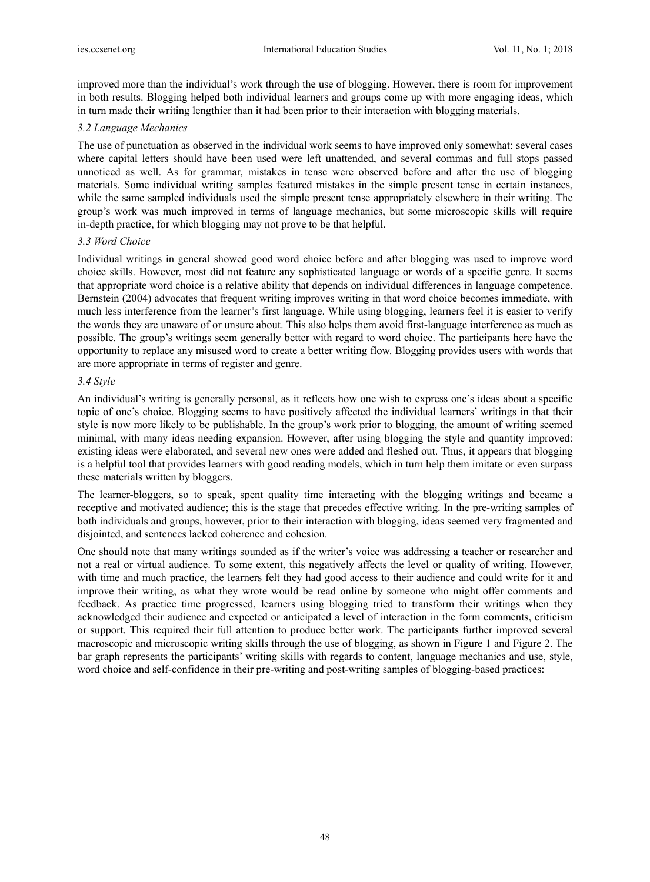improved more than the individual's work through the use of blogging. However, there is room for improvement in both results. Blogging helped both individual learners and groups come up with more engaging ideas, which in turn made their writing lengthier than it had been prior to their interaction with blogging materials.

# *3.2 Language Mechanics*

The use of punctuation as observed in the individual work seems to have improved only somewhat: several cases where capital letters should have been used were left unattended, and several commas and full stops passed unnoticed as well. As for grammar, mistakes in tense were observed before and after the use of blogging materials. Some individual writing samples featured mistakes in the simple present tense in certain instances, while the same sampled individuals used the simple present tense appropriately elsewhere in their writing. The group's work was much improved in terms of language mechanics, but some microscopic skills will require in-depth practice, for which blogging may not prove to be that helpful.

# *3.3 Word Choice*

Individual writings in general showed good word choice before and after blogging was used to improve word choice skills. However, most did not feature any sophisticated language or words of a specific genre. It seems that appropriate word choice is a relative ability that depends on individual differences in language competence. Bernstein (2004) advocates that frequent writing improves writing in that word choice becomes immediate, with much less interference from the learner's first language. While using blogging, learners feel it is easier to verify the words they are unaware of or unsure about. This also helps them avoid first-language interference as much as possible. The group's writings seem generally better with regard to word choice. The participants here have the opportunity to replace any misused word to create a better writing flow. Blogging provides users with words that are more appropriate in terms of register and genre.

# *3.4 Style*

An individual's writing is generally personal, as it reflects how one wish to express one's ideas about a specific topic of one's choice. Blogging seems to have positively affected the individual learners' writings in that their style is now more likely to be publishable. In the group's work prior to blogging, the amount of writing seemed minimal, with many ideas needing expansion. However, after using blogging the style and quantity improved: existing ideas were elaborated, and several new ones were added and fleshed out. Thus, it appears that blogging is a helpful tool that provides learners with good reading models, which in turn help them imitate or even surpass these materials written by bloggers.

The learner-bloggers, so to speak, spent quality time interacting with the blogging writings and became a receptive and motivated audience; this is the stage that precedes effective writing. In the pre-writing samples of both individuals and groups, however, prior to their interaction with blogging, ideas seemed very fragmented and disjointed, and sentences lacked coherence and cohesion.

One should note that many writings sounded as if the writer's voice was addressing a teacher or researcher and not a real or virtual audience. To some extent, this negatively affects the level or quality of writing. However, with time and much practice, the learners felt they had good access to their audience and could write for it and improve their writing, as what they wrote would be read online by someone who might offer comments and feedback. As practice time progressed, learners using blogging tried to transform their writings when they acknowledged their audience and expected or anticipated a level of interaction in the form comments, criticism or support. This required their full attention to produce better work. The participants further improved several macroscopic and microscopic writing skills through the use of blogging, as shown in Figure 1 and Figure 2. The bar graph represents the participants' writing skills with regards to content, language mechanics and use, style, word choice and self-confidence in their pre-writing and post-writing samples of blogging-based practices: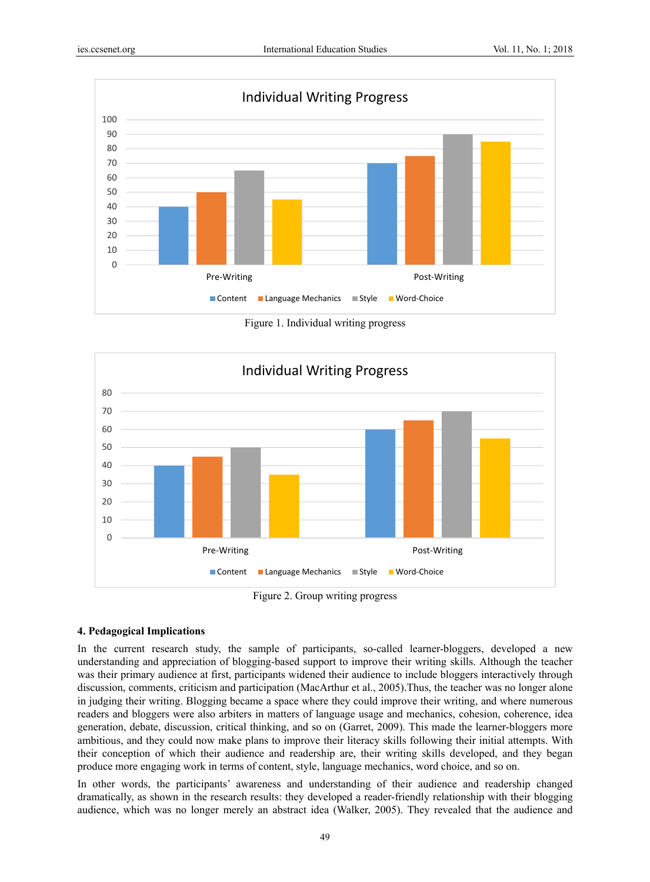

Figure 1. Individual writing progress



Figure 2. Group writing progress

# **4. Pedagogical Implications**

In the current research study, the sample of participants, so-called learner-bloggers, developed a new understanding and appreciation of blogging-based support to improve their writing skills. Although the teacher was their primary audience at first, participants widened their audience to include bloggers interactively through discussion, comments, criticism and participation (MacArthur et al., 2005).Thus, the teacher was no longer alone in judging their writing. Blogging became a space where they could improve their writing, and where numerous readers and bloggers were also arbiters in matters of language usage and mechanics, cohesion, coherence, idea generation, debate, discussion, critical thinking, and so on (Garret, 2009). This made the learner-bloggers more ambitious, and they could now make plans to improve their literacy skills following their initial attempts. With their conception of which their audience and readership are, their writing skills developed, and they began produce more engaging work in terms of content, style, language mechanics, word choice, and so on.

In other words, the participants' awareness and understanding of their audience and readership changed dramatically, as shown in the research results: they developed a reader-friendly relationship with their blogging audience, which was no longer merely an abstract idea (Walker, 2005). They revealed that the audience and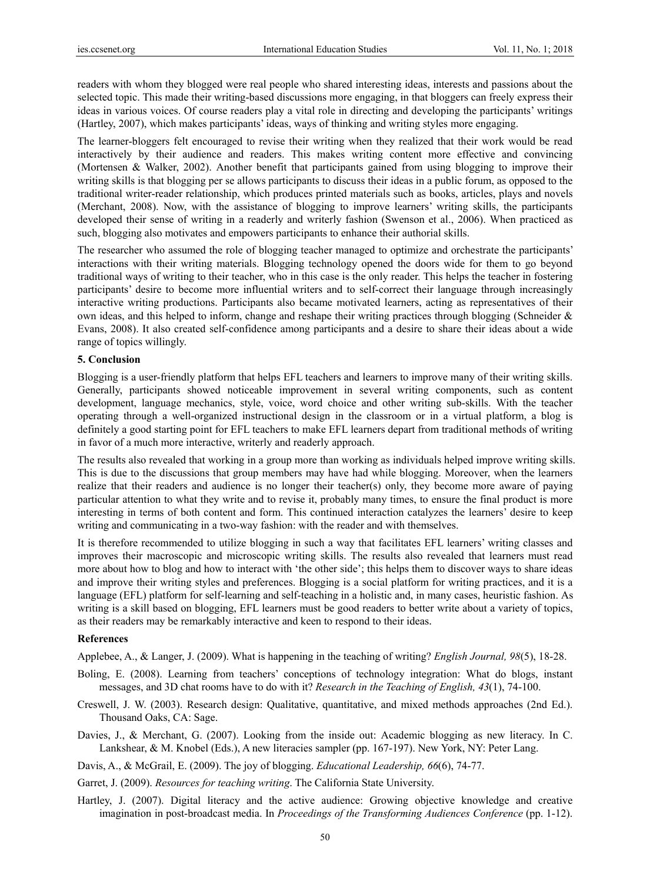readers with whom they blogged were real people who shared interesting ideas, interests and passions about the selected topic. This made their writing-based discussions more engaging, in that bloggers can freely express their ideas in various voices. Of course readers play a vital role in directing and developing the participants' writings (Hartley, 2007), which makes participants' ideas, ways of thinking and writing styles more engaging.

The learner-bloggers felt encouraged to revise their writing when they realized that their work would be read interactively by their audience and readers. This makes writing content more effective and convincing (Mortensen & Walker, 2002). Another benefit that participants gained from using blogging to improve their writing skills is that blogging per se allows participants to discuss their ideas in a public forum, as opposed to the traditional writer-reader relationship, which produces printed materials such as books, articles, plays and novels (Merchant, 2008). Now, with the assistance of blogging to improve learners' writing skills, the participants developed their sense of writing in a readerly and writerly fashion (Swenson et al., 2006). When practiced as such, blogging also motivates and empowers participants to enhance their authorial skills.

The researcher who assumed the role of blogging teacher managed to optimize and orchestrate the participants' interactions with their writing materials. Blogging technology opened the doors wide for them to go beyond traditional ways of writing to their teacher, who in this case is the only reader. This helps the teacher in fostering participants' desire to become more influential writers and to self-correct their language through increasingly interactive writing productions. Participants also became motivated learners, acting as representatives of their own ideas, and this helped to inform, change and reshape their writing practices through blogging (Schneider  $\&$ Evans, 2008). It also created self-confidence among participants and a desire to share their ideas about a wide range of topics willingly.

# **5. Conclusion**

Blogging is a user-friendly platform that helps EFL teachers and learners to improve many of their writing skills. Generally, participants showed noticeable improvement in several writing components, such as content development, language mechanics, style, voice, word choice and other writing sub-skills. With the teacher operating through a well-organized instructional design in the classroom or in a virtual platform, a blog is definitely a good starting point for EFL teachers to make EFL learners depart from traditional methods of writing in favor of a much more interactive, writerly and readerly approach.

The results also revealed that working in a group more than working as individuals helped improve writing skills. This is due to the discussions that group members may have had while blogging. Moreover, when the learners realize that their readers and audience is no longer their teacher(s) only, they become more aware of paying particular attention to what they write and to revise it, probably many times, to ensure the final product is more interesting in terms of both content and form. This continued interaction catalyzes the learners' desire to keep writing and communicating in a two-way fashion: with the reader and with themselves.

It is therefore recommended to utilize blogging in such a way that facilitates EFL learners' writing classes and improves their macroscopic and microscopic writing skills. The results also revealed that learners must read more about how to blog and how to interact with 'the other side'; this helps them to discover ways to share ideas and improve their writing styles and preferences. Blogging is a social platform for writing practices, and it is a language (EFL) platform for self-learning and self-teaching in a holistic and, in many cases, heuristic fashion. As writing is a skill based on blogging, EFL learners must be good readers to better write about a variety of topics, as their readers may be remarkably interactive and keen to respond to their ideas.

# **References**

Applebee, A., & Langer, J. (2009). What is happening in the teaching of writing? *English Journal, 98*(5), 18-28.

- Boling, E. (2008). Learning from teachers' conceptions of technology integration: What do blogs, instant messages, and 3D chat rooms have to do with it? *Research in the Teaching of English, 43*(1), 74-100.
- Creswell, J. W. (2003). Research design: Qualitative, quantitative, and mixed methods approaches (2nd Ed.). Thousand Oaks, CA: Sage.
- Davies, J., & Merchant, G. (2007). Looking from the inside out: Academic blogging as new literacy. In C. Lankshear, & M. Knobel (Eds.), A new literacies sampler (pp. 167-197). New York, NY: Peter Lang.
- Davis, A., & McGrail, E. (2009). The joy of blogging. *Educational Leadership, 66*(6), 74-77.
- Garret, J. (2009). *Resources for teaching writing*. The California State University.
- Hartley, J. (2007). Digital literacy and the active audience: Growing objective knowledge and creative imagination in post-broadcast media. In *Proceedings of the Transforming Audiences Conference* (pp. 1-12).